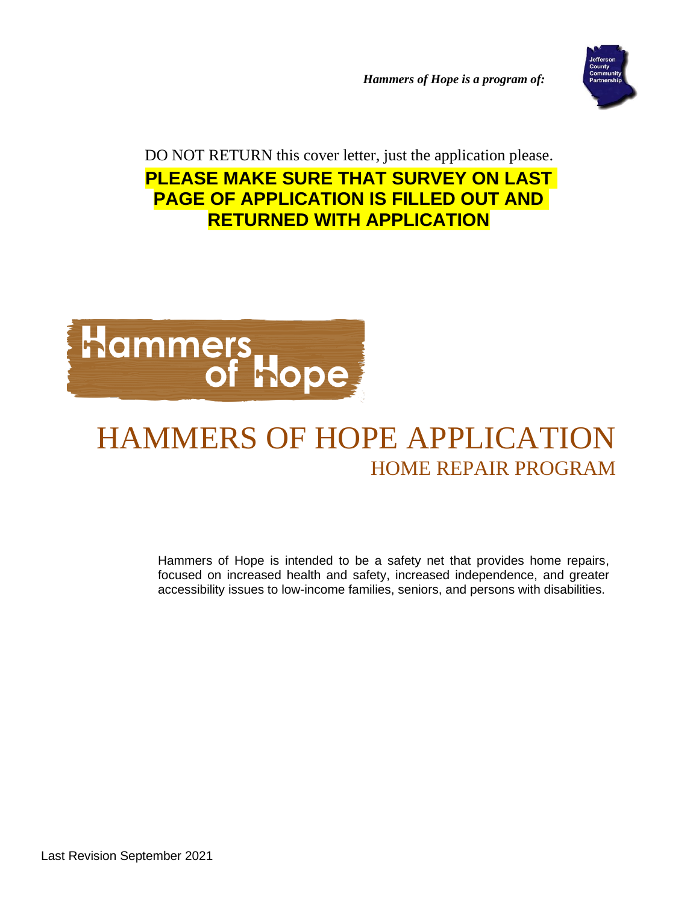*Hammers of Hope is a program of:*



DO NOT RETURN this cover letter, just the application please. **PLEASE MAKE SURE THAT SURVEY ON LAST PAGE OF APPLICATION IS FILLED OUT AND RETURNED WITH APPLICATION**



# HAMMERS OF HOPE APPLICATION HOME REPAIR PROGRAM

Hammers of Hope is intended to be a safety net that provides home repairs, focused on increased health and safety, increased independence, and greater accessibility issues to low-income families, seniors, and persons with disabilities.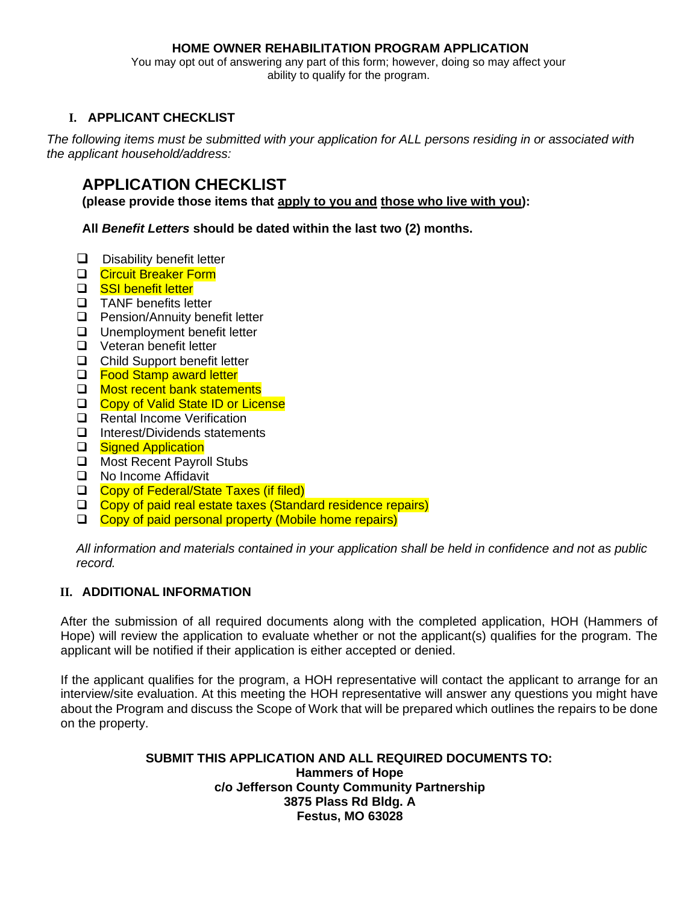#### **HOME OWNER REHABILITATION PROGRAM APPLICATION**

You may opt out of answering any part of this form; however, doing so may affect your ability to qualify for the program.

#### **I. APPLICANT CHECKLIST**

*The following items must be submitted with your application for ALL persons residing in or associated with the applicant household/address:*

### **APPLICATION CHECKLIST**

**(please provide those items that apply to you and those who live with you):**

**All** *Benefit Letters* **should be dated within the last two (2) months.** 

- ❑ Disability benefit letter
- ❑ Circuit Breaker Form
- ❑ SSI benefit letter
- ❑ TANF benefits letter
- ❑ Pension/Annuity benefit letter
- ❑ Unemployment benefit letter
- ❑ Veteran benefit letter
- ❑ Child Support benefit letter
- □ Food Stamp award letter
- ❑ Most recent bank statements
- ❑ Copy of Valid State ID or License
- ❑ Rental Income Verification
- ❑ Interest/Dividends statements
- □ Signed Application
- ❑ Most Recent Payroll Stubs
- ❑ No Income Affidavit
- ❑ Copy of Federal/State Taxes (if filed)
- ❑ Copy of paid real estate taxes (Standard residence repairs)
- ❑ Copy of paid personal property (Mobile home repairs)

*All information and materials contained in your application shall be held in confidence and not as public record.*

#### **II. ADDITIONAL INFORMATION**

After the submission of all required documents along with the completed application, HOH (Hammers of Hope) will review the application to evaluate whether or not the applicant(s) qualifies for the program. The applicant will be notified if their application is either accepted or denied.

If the applicant qualifies for the program, a HOH representative will contact the applicant to arrange for an interview/site evaluation. At this meeting the HOH representative will answer any questions you might have about the Program and discuss the Scope of Work that will be prepared which outlines the repairs to be done on the property.

#### **SUBMIT THIS APPLICATION AND ALL REQUIRED DOCUMENTS TO: Hammers of Hope c/o Jefferson County Community Partnership 3875 Plass Rd Bldg. A Festus, MO 63028**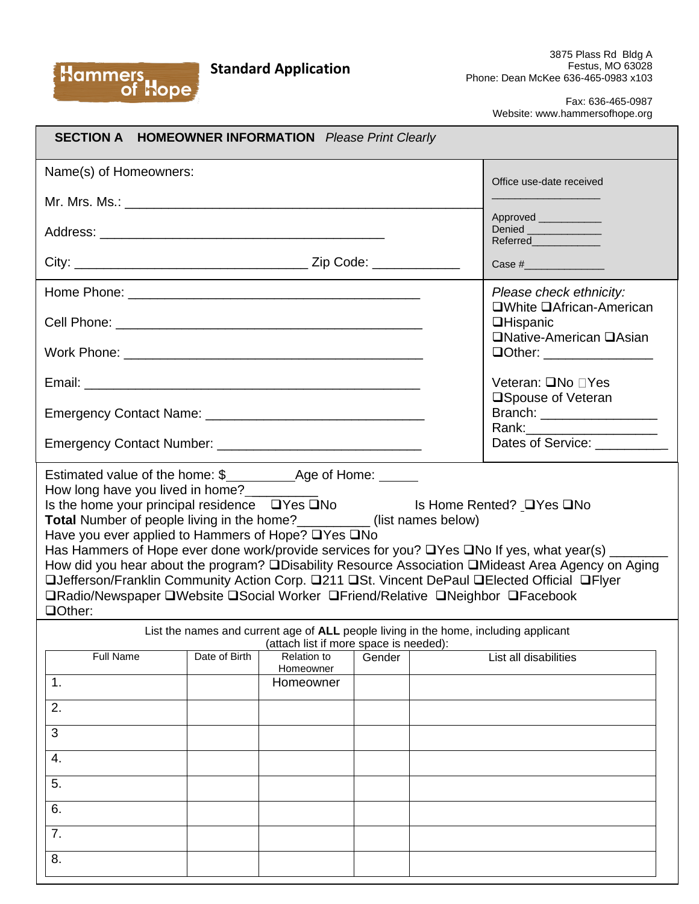### **Standard Application**

Hammers<br>cof Hope

Fax: 636-465-0987 Website: www.hammersofhope.org

| <b>SECTION A HOMEOWNER INFORMATION</b> Please Print Clearly                                                                                                                                                                                                                                                                                                                                                                                                                                                                                                                                                                                          |               |                                                                                                                                |        |  |                                                                                                                                                                                                                      |
|------------------------------------------------------------------------------------------------------------------------------------------------------------------------------------------------------------------------------------------------------------------------------------------------------------------------------------------------------------------------------------------------------------------------------------------------------------------------------------------------------------------------------------------------------------------------------------------------------------------------------------------------------|---------------|--------------------------------------------------------------------------------------------------------------------------------|--------|--|----------------------------------------------------------------------------------------------------------------------------------------------------------------------------------------------------------------------|
| Name(s) of Homeowners:                                                                                                                                                                                                                                                                                                                                                                                                                                                                                                                                                                                                                               |               |                                                                                                                                |        |  | Office use-date received                                                                                                                                                                                             |
|                                                                                                                                                                                                                                                                                                                                                                                                                                                                                                                                                                                                                                                      |               |                                                                                                                                |        |  |                                                                                                                                                                                                                      |
|                                                                                                                                                                                                                                                                                                                                                                                                                                                                                                                                                                                                                                                      |               |                                                                                                                                |        |  | Approved _____________<br>Denied<br>Referred                                                                                                                                                                         |
|                                                                                                                                                                                                                                                                                                                                                                                                                                                                                                                                                                                                                                                      |               |                                                                                                                                |        |  | Case #_________________                                                                                                                                                                                              |
|                                                                                                                                                                                                                                                                                                                                                                                                                                                                                                                                                                                                                                                      |               |                                                                                                                                |        |  | Please check ethnicity:<br>□White □African-American                                                                                                                                                                  |
|                                                                                                                                                                                                                                                                                                                                                                                                                                                                                                                                                                                                                                                      |               |                                                                                                                                |        |  | <b>QHispanic</b>                                                                                                                                                                                                     |
|                                                                                                                                                                                                                                                                                                                                                                                                                                                                                                                                                                                                                                                      |               |                                                                                                                                |        |  | <b>□Native-American □Asian</b><br><b>QOther:</b> ________________                                                                                                                                                    |
|                                                                                                                                                                                                                                                                                                                                                                                                                                                                                                                                                                                                                                                      |               |                                                                                                                                |        |  | Veteran: <b>QNo</b> ∩Yes                                                                                                                                                                                             |
|                                                                                                                                                                                                                                                                                                                                                                                                                                                                                                                                                                                                                                                      |               |                                                                                                                                |        |  | □Spouse of Veteran<br>Branch: __________________                                                                                                                                                                     |
|                                                                                                                                                                                                                                                                                                                                                                                                                                                                                                                                                                                                                                                      |               |                                                                                                                                |        |  | Rank: ________________________<br>Dates of Service: __________                                                                                                                                                       |
| How long have you lived in home?________<br>Is the home your principal residence<br>QYes QNo<br>CYes QNo<br>CYes QNo<br>CYes QNo<br>CYes QNo<br>CYes QNo<br>CYes QNo<br>CYes QNo<br>CYes QNo<br>CYes QNo<br>CYes QNo<br>CYes QNo<br>CYes QNo<br>CYes QNo<br>CYes QNo<br>CYes QNo<br>CYes QNo<br>CYes QNo<br>CYe<br><b>Total Number of people living in the home?</b> ___________(list names below)<br>Have you ever applied to Hammers of Hope? □Yes □No<br>□Jefferson/Franklin Community Action Corp. □211 □St. Vincent DePaul □Elected Official □Flyer<br>□Radio/Newspaper □Website □Social Worker □Friend/Relative □Neighbor □Facebook<br>□Other: |               |                                                                                                                                |        |  | Has Hammers of Hope ever done work/provide services for you? $\Box$ Yes $\Box$ No If yes, what year(s) _______<br>How did you hear about the program? □Disability Resource Association □Mideast Area Agency on Aging |
|                                                                                                                                                                                                                                                                                                                                                                                                                                                                                                                                                                                                                                                      |               | List the names and current age of ALL people living in the home, including applicant<br>(attach list if more space is needed): |        |  |                                                                                                                                                                                                                      |
| <b>Full Name</b>                                                                                                                                                                                                                                                                                                                                                                                                                                                                                                                                                                                                                                     | Date of Birth | <b>Relation to</b><br>Homeowner                                                                                                | Gender |  | List all disabilities                                                                                                                                                                                                |
| 1.                                                                                                                                                                                                                                                                                                                                                                                                                                                                                                                                                                                                                                                   |               | Homeowner                                                                                                                      |        |  |                                                                                                                                                                                                                      |
| 2.                                                                                                                                                                                                                                                                                                                                                                                                                                                                                                                                                                                                                                                   |               |                                                                                                                                |        |  |                                                                                                                                                                                                                      |
| 3                                                                                                                                                                                                                                                                                                                                                                                                                                                                                                                                                                                                                                                    |               |                                                                                                                                |        |  |                                                                                                                                                                                                                      |
| 4.                                                                                                                                                                                                                                                                                                                                                                                                                                                                                                                                                                                                                                                   |               |                                                                                                                                |        |  |                                                                                                                                                                                                                      |
| 5.                                                                                                                                                                                                                                                                                                                                                                                                                                                                                                                                                                                                                                                   |               |                                                                                                                                |        |  |                                                                                                                                                                                                                      |
| 6.                                                                                                                                                                                                                                                                                                                                                                                                                                                                                                                                                                                                                                                   |               |                                                                                                                                |        |  |                                                                                                                                                                                                                      |
| 7.                                                                                                                                                                                                                                                                                                                                                                                                                                                                                                                                                                                                                                                   |               |                                                                                                                                |        |  |                                                                                                                                                                                                                      |
| 8.                                                                                                                                                                                                                                                                                                                                                                                                                                                                                                                                                                                                                                                   |               |                                                                                                                                |        |  |                                                                                                                                                                                                                      |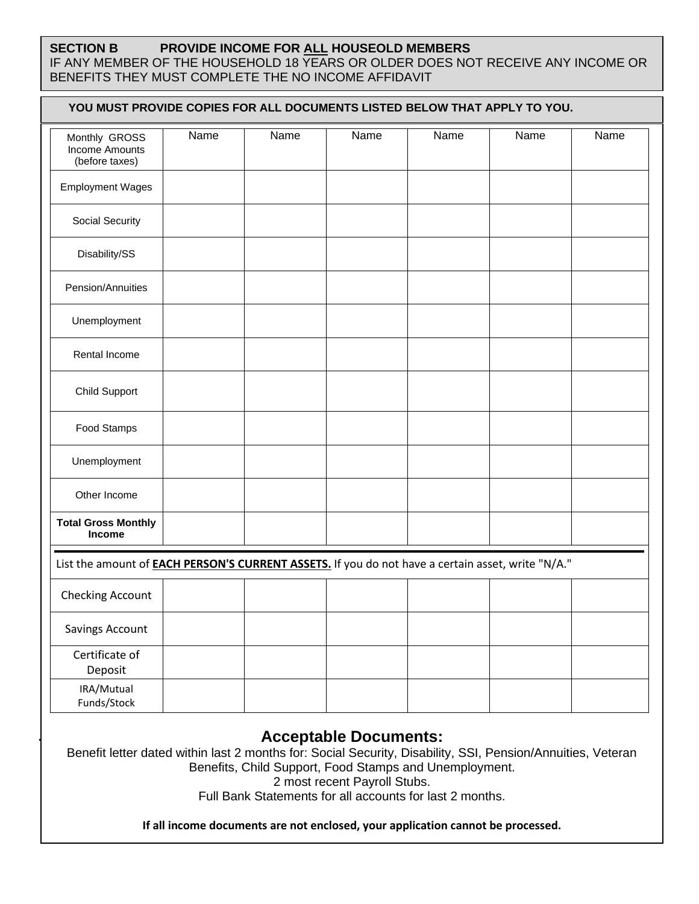## **SECTION B PROVIDE INCOME FOR ALL HOUSEOLD MEMBERS**

IF ANY MEMBER OF THE HOUSEHOLD 18 YEARS OR OLDER DOES NOT RECEIVE ANY INCOME OR BENEFITS THEY MUST COMPLETE THE NO INCOME AFFIDAVIT

| YOU MUST PROVIDE COPIES FOR ALL DOCUMENTS LISTED BELOW THAT APPLY TO YOU.                                |      |      |      |      |      |      |
|----------------------------------------------------------------------------------------------------------|------|------|------|------|------|------|
| Monthly GROSS<br>Income Amounts<br>(before taxes)                                                        | Name | Name | Name | Name | Name | Name |
| <b>Employment Wages</b>                                                                                  |      |      |      |      |      |      |
| Social Security                                                                                          |      |      |      |      |      |      |
| Disability/SS                                                                                            |      |      |      |      |      |      |
| Pension/Annuities                                                                                        |      |      |      |      |      |      |
| Unemployment                                                                                             |      |      |      |      |      |      |
| Rental Income                                                                                            |      |      |      |      |      |      |
| Child Support                                                                                            |      |      |      |      |      |      |
| Food Stamps                                                                                              |      |      |      |      |      |      |
| Unemployment                                                                                             |      |      |      |      |      |      |
| Other Income                                                                                             |      |      |      |      |      |      |
| <b>Total Gross Monthly</b><br>Income                                                                     |      |      |      |      |      |      |
| List the amount of <b>EACH PERSON'S CURRENT ASSETS.</b> If you do not have a certain asset, write "N/A." |      |      |      |      |      |      |
| Checking Account                                                                                         |      |      |      |      |      |      |
| <b>Savings Account</b>                                                                                   |      |      |      |      |      |      |
| Certificate of<br>Deposit                                                                                |      |      |      |      |      |      |
| IRA/Mutual<br>Funds/Stock                                                                                |      |      |      |      |      |      |

Benefit letter dated within last 2 months for: Social Security, Disability, SSI, Pension/Annuities, Veteran Benefits, Child Support, Food Stamps and Unemployment.

2 most recent Payroll Stubs.

Full Bank Statements for all accounts for last 2 months.

**If all income documents are not enclosed, your application cannot be processed.**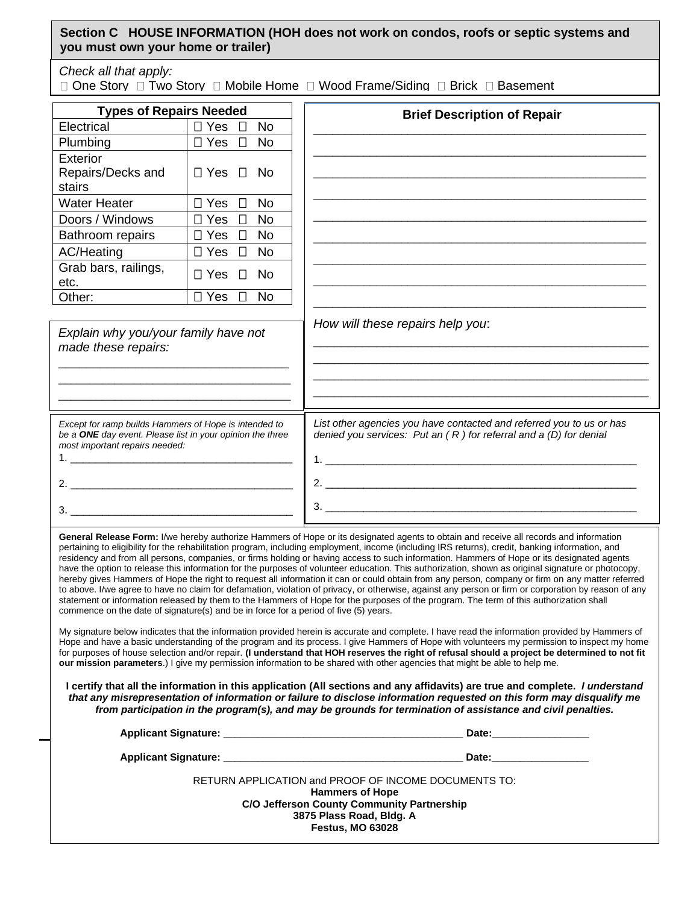| Section C HOUSE INFORMATION (HOH does not work on condos, roofs or septic systems and |  |
|---------------------------------------------------------------------------------------|--|
| you must own your home or trailer)                                                    |  |

*Check all that apply:* 

 $\Box$  One Story  $\Box$  Two Story  $\Box$  Mobile Home  $\Box$  Wood Frame/Siding  $\Box$  Brick  $\Box$  Basement

| <b>Types of Repairs Needed</b>                                                                                                                             |                                   | <b>Brief Description of Repair</b>                                                                                                                                                                                                                                                                                                                                                                                                                                                                                                                                                                                                                                                                                                                                                                                                                                                                         |
|------------------------------------------------------------------------------------------------------------------------------------------------------------|-----------------------------------|------------------------------------------------------------------------------------------------------------------------------------------------------------------------------------------------------------------------------------------------------------------------------------------------------------------------------------------------------------------------------------------------------------------------------------------------------------------------------------------------------------------------------------------------------------------------------------------------------------------------------------------------------------------------------------------------------------------------------------------------------------------------------------------------------------------------------------------------------------------------------------------------------------|
| Electrical                                                                                                                                                 | $\Box$ Yes<br><b>No</b><br>$\Box$ |                                                                                                                                                                                                                                                                                                                                                                                                                                                                                                                                                                                                                                                                                                                                                                                                                                                                                                            |
| Plumbing                                                                                                                                                   | $\Box$ Yes<br><b>No</b><br>$\Box$ |                                                                                                                                                                                                                                                                                                                                                                                                                                                                                                                                                                                                                                                                                                                                                                                                                                                                                                            |
| Exterior<br>Repairs/Decks and<br>stairs                                                                                                                    | $\Box$ Yes $\Box$<br>No.          |                                                                                                                                                                                                                                                                                                                                                                                                                                                                                                                                                                                                                                                                                                                                                                                                                                                                                                            |
| <b>Water Heater</b>                                                                                                                                        | $\Box$ Yes<br>$\Box$<br><b>No</b> |                                                                                                                                                                                                                                                                                                                                                                                                                                                                                                                                                                                                                                                                                                                                                                                                                                                                                                            |
| Doors / Windows                                                                                                                                            | $\Box$ Yes<br>$\Box$<br><b>No</b> |                                                                                                                                                                                                                                                                                                                                                                                                                                                                                                                                                                                                                                                                                                                                                                                                                                                                                                            |
| Bathroom repairs                                                                                                                                           | $\Box$ Yes<br><b>No</b><br>$\Box$ |                                                                                                                                                                                                                                                                                                                                                                                                                                                                                                                                                                                                                                                                                                                                                                                                                                                                                                            |
| <b>AC/Heating</b>                                                                                                                                          | $\Box$ Yes<br>$\Box$<br><b>No</b> |                                                                                                                                                                                                                                                                                                                                                                                                                                                                                                                                                                                                                                                                                                                                                                                                                                                                                                            |
| Grab bars, railings,<br>etc.                                                                                                                               | $\Box$ Yes<br>$\Box$<br><b>No</b> |                                                                                                                                                                                                                                                                                                                                                                                                                                                                                                                                                                                                                                                                                                                                                                                                                                                                                                            |
| Other:                                                                                                                                                     | $\Box$ Yes<br>$\Box$<br><b>No</b> |                                                                                                                                                                                                                                                                                                                                                                                                                                                                                                                                                                                                                                                                                                                                                                                                                                                                                                            |
| Explain why you/your family have not<br>made these repairs:                                                                                                |                                   |                                                                                                                                                                                                                                                                                                                                                                                                                                                                                                                                                                                                                                                                                                                                                                                                                                                                                                            |
| Except for ramp builds Hammers of Hope is intended to<br>be a ONE day event. Please list in your opinion the three<br>most important repairs needed:<br>3. |                                   | List other agencies you have contacted and referred you to us or has<br>denied you services: $Put an (R) for referral and a (D) for denial$                                                                                                                                                                                                                                                                                                                                                                                                                                                                                                                                                                                                                                                                                                                                                                |
|                                                                                                                                                            |                                   | General Release Form: I/we hereby authorize Hammers of Hope or its designated agents to obtain and receive all records and information<br>pertaining to eligibility for the rehabilitation program, including employment, income (including IRS returns), credit, banking information, and<br>residency and from all persons, companies, or firms holding or having access to such information. Hammers of Hope or its designated agents<br>have the option to release this information for the purposes of volunteer education. This authorization, shown as original signature or photocopy,<br>hereby gives Hammers of Hope the right to request all information it can or could obtain from any person, company or firm on any matter referred<br>to above. I/we agree to have no claim for defamation, violation of privacy, or otherwise, against any person or firm or corporation by reason of any |

My signature below indicates that the information provided herein is accurate and complete. I have read the information provided by Hammers of Hope and have a basic understanding of the program and its process. I give Hammers of Hope with volunteers my permission to inspect my home for purposes of house selection and/or repair. **(I understand that HOH reserves the right of refusal should a project be determined to not fit our mission parameters**.) I give my permission information to be shared with other agencies that might be able to help me.

statement or information released by them to the Hammers of Hope for the purposes of the program. The term of this authorization shall

commence on the date of signature(s) and be in force for a period of five (5) years.

**I certify that all the information in this application (All sections and any affidavits) are true and complete.** *I understand that any misrepresentation of information or failure to disclose information requested on this form may disqualify me from participation in the program(s), and may be grounds for termination of assistance and civil penalties.*

| Applicant Signature: Applicant Signature:                                      | Date: the contract of the contract of the contract of the contract of the contract of the contract of the contract of the contract of the contract of the contract of the contract of the contract of the contract of the cont |
|--------------------------------------------------------------------------------|--------------------------------------------------------------------------------------------------------------------------------------------------------------------------------------------------------------------------------|
| Applicant Signature: Applicant Signature:                                      | Date: the contract of the contract of the contract of the contract of the contract of the contract of the contract of the contract of the contract of the contract of the contract of the contract of the contract of the cont |
| RETURN APPLICATION and PROOF OF INCOME DOCUMENTS TO:<br><b>Hammers of Hope</b> |                                                                                                                                                                                                                                |
| <b>C/O Jefferson County Community Partnership</b>                              |                                                                                                                                                                                                                                |
| 3875 Plass Road, Bldg. A                                                       |                                                                                                                                                                                                                                |
| <b>Festus, MO 63028</b>                                                        |                                                                                                                                                                                                                                |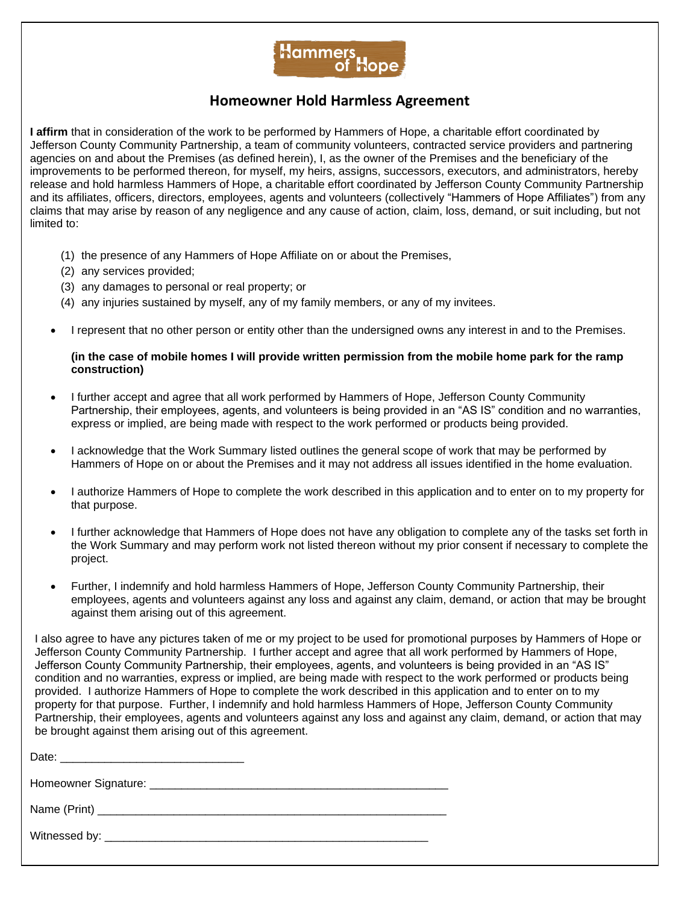

#### **Homeowner Hold Harmless Agreement**

**I affirm** that in consideration of the work to be performed by Hammers of Hope, a charitable effort coordinated by Jefferson County Community Partnership, a team of community volunteers, contracted service providers and partnering agencies on and about the Premises (as defined herein), I, as the owner of the Premises and the beneficiary of the improvements to be performed thereon, for myself, my heirs, assigns, successors, executors, and administrators, hereby release and hold harmless Hammers of Hope, a charitable effort coordinated by Jefferson County Community Partnership and its affiliates, officers, directors, employees, agents and volunteers (collectively "Hammers of Hope Affiliates") from any claims that may arise by reason of any negligence and any cause of action, claim, loss, demand, or suit including, but not limited to:

- (1) the presence of any Hammers of Hope Affiliate on or about the Premises,
- (2) any services provided;
- (3) any damages to personal or real property; or
- (4) any injuries sustained by myself, any of my family members, or any of my invitees.
- I represent that no other person or entity other than the undersigned owns any interest in and to the Premises.

#### **(in the case of mobile homes I will provide written permission from the mobile home park for the ramp construction)**

- I further accept and agree that all work performed by Hammers of Hope, Jefferson County Community Partnership, their employees, agents, and volunteers is being provided in an "AS IS" condition and no warranties, express or implied, are being made with respect to the work performed or products being provided.
- I acknowledge that the Work Summary listed outlines the general scope of work that may be performed by Hammers of Hope on or about the Premises and it may not address all issues identified in the home evaluation.
- I authorize Hammers of Hope to complete the work described in this application and to enter on to my property for that purpose.
- I further acknowledge that Hammers of Hope does not have any obligation to complete any of the tasks set forth in the Work Summary and may perform work not listed thereon without my prior consent if necessary to complete the project.
- Further, I indemnify and hold harmless Hammers of Hope, Jefferson County Community Partnership, their employees, agents and volunteers against any loss and against any claim, demand, or action that may be brought against them arising out of this agreement.

I also agree to have any pictures taken of me or my project to be used for promotional purposes by Hammers of Hope or Jefferson County Community Partnership. I further accept and agree that all work performed by Hammers of Hope, Jefferson County Community Partnership, their employees, agents, and volunteers is being provided in an "AS IS" condition and no warranties, express or implied, are being made with respect to the work performed or products being provided. I authorize Hammers of Hope to complete the work described in this application and to enter on to my property for that purpose. Further, I indemnify and hold harmless Hammers of Hope, Jefferson County Community Partnership, their employees, agents and volunteers against any loss and against any claim, demand, or action that may be brought against them arising out of this agreement.